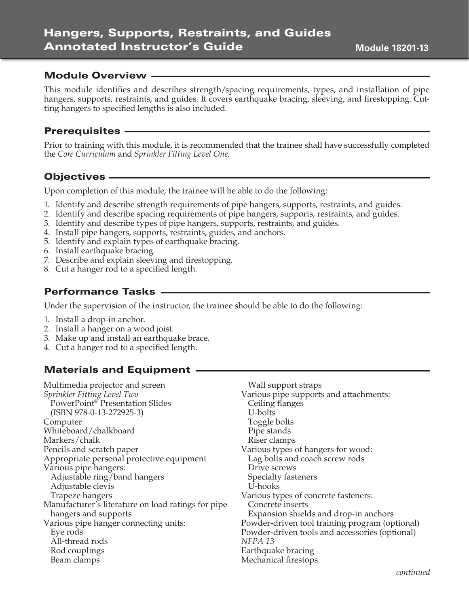# Hangers, Supports, Restraints, and Guides Annotated Instructor's Guide

### Module Overview

This module identifies and describes strength/spacing requirements, types, and installation of pipe hangers, supports, restraints, and guides. It covers earthquake bracing, sleeving, and firestopping. Cutting hangers to specified lengths is also included.

#### Prerequisites

Prior to training with this module, it is recommended that the trainee shall have successfully completed the *Core Curriculum* and *Sprinkler Fitting Level One.*

## Objectives

Upon completion of this module, the trainee will be able to do the following:

- 1. Identify and describe strength requirements of pipe hangers, supports, restraints, and guides.
- 2. Identify and describe spacing requirements of pipe hangers, supports, restraints, and guides.
- 3. Identify and describe types of pipe hangers, supports, restraints, and guides.
- 4. Install pipe hangers, supports, restraints, guides, and anchors.
- 5. Identify and explain types of earthquake bracing.
- 6. Install earthquake bracing.
- 7. Describe and explain sleeving and firestopping.
- 8. Cut a hanger rod to a specified length.

## Performance Tasks

Under the supervision of the instructor, the trainee should be able to do the following:

- 1. Install a drop-in anchor.
- 2. Install a hanger on a wood joist.
- 3. Make up and install an earthquake brace.
- 4. Cut a hanger rod to a specified length.

## Materials and Equipment

Multimedia projector and screen *Sprinkler Fitting Level Two* PowerPoint® Presentation Slides (ISBN 978-0-13-272925-3) Computer Whiteboard/chalkboard Markers/chalk Pencils and scratch paper Appropriate personal protective equipment Various pipe hangers: Adjustable ring/band hangers Adjustable clevis Trapeze hangers Manufacturer's literature on load ratings for pipe hangers and supports Various pipe hanger connecting units: Eye rods All-thread rods Rod couplings Beam clamps

Wall support straps Various pipe supports and attachments: Ceiling flanges U-bolts Toggle bolts Pipe stands Riser clamps Various types of hangers for wood: Lag bolts and coach screw rods Drive screws Specialty fasteners U-hooks Various types of concrete fasteners: Concrete inserts Expansion shields and drop-in anchors Powder-driven tool training program (optional) Powder-driven tools and accessories (optional) *NFPA 13* Earthquake bracing Mechanical firestops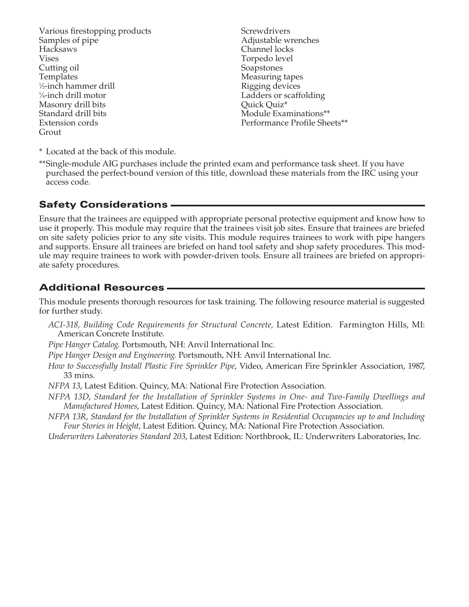Various firestopping products Samples of pipe Hacksaws Vises Cutting oil Templates 1 ⁄2-inch hammer drill 1 ⁄4-inch drill motor Masonry drill bits Standard drill bits Extension cords Grout

**Screwdrivers** Adjustable wrenches Channel locks Torpedo level Soapstones Measuring tapes Rigging devices Ladders or scaffolding Quick Quiz\* Module Examinations\*\* Performance Profile Sheets\*\*

\* Located at the back of this module.

\*\*Single-module AIG purchases include the printed exam and performance task sheet. If you have purchased the perfect-bound version of this title, download these materials from the IRC using your access code.

### **Safety Considerations -**

Ensure that the trainees are equipped with appropriate personal protective equipment and know how to use it properly. This module may require that the trainees visit job sites. Ensure that trainees are briefed on site safety policies prior to any site visits. This module requires trainees to work with pipe hangers and supports. Ensure all trainees are briefed on hand tool safety and shop safety procedures. This module may require trainees to work with powder-driven tools. Ensure all trainees are briefed on appropriate safety procedures.

## Additional Resources

This module presents thorough resources for task training. The following resource material is suggested for further study.

- *ACI-318, Building Code Requirements for Structural Concrete,* Latest Edition. Farmington Hills, MI: American Concrete Institute.
- *Pipe Hanger Catalog*. Portsmouth, NH: Anvil International Inc.
- *Pipe Hanger Design and Engineering*. Portsmouth, NH: Anvil International Inc.
- *How to Successfully Install Plastic Fire Sprinkler Pipe*, Video, American Fire Sprinkler Association, 1987, 33 mins.
- *NFPA 13*, Latest Edition. Quincy, MA: National Fire Protection Association.
- *NFPA 13D*, *Standard for the Installation of Sprinkler Systems in One- and Two-Family Dwellings and Manufactured Homes*, Latest Edition. Quincy, MA: National Fire Protection Association.
- *NFPA 13R*, *Standard for the Installation of Sprinkler Systems in Residential Occupancies up to and Including Four Stories in Height*, Latest Edition. Quincy, MA: National Fire Protection Association.
- *Underwriters Laboratories Standard 203*, Latest Edition: Northbrook, IL: Underwriters Laboratories, Inc.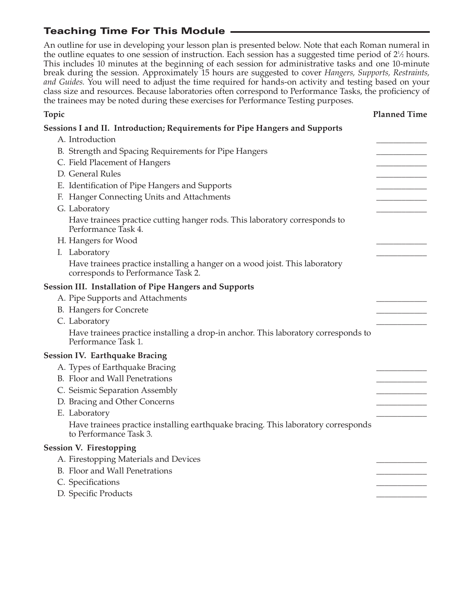# Teaching Time For This Module

An outline for use in developing your lesson plan is presented below. Note that each Roman numeral in the outline equates to one session of instruction. Each session has a suggested time period of 2<sup>1</sup>/<sub>2</sub> hours. This includes 10 minutes at the beginning of each session for administrative tasks and one 10-minute break during the session. Approximately 15 hours are suggested to cover *Hangers, Supports, Restraints, and Guides.* You will need to adjust the time required for hands-on activity and testing based on your class size and resources. Because laboratories often correspond to Performance Tasks, the proficiency of the trainees may be noted during these exercises for Performance Testing purposes.

| Topic                                                                                                             | <b>Planned Time</b> |
|-------------------------------------------------------------------------------------------------------------------|---------------------|
| Sessions I and II. Introduction; Requirements for Pipe Hangers and Supports                                       |                     |
| A. Introduction                                                                                                   |                     |
| B. Strength and Spacing Requirements for Pipe Hangers                                                             |                     |
| C. Field Placement of Hangers                                                                                     |                     |
| D. General Rules                                                                                                  |                     |
| E. Identification of Pipe Hangers and Supports                                                                    |                     |
| F. Hanger Connecting Units and Attachments                                                                        |                     |
| G. Laboratory                                                                                                     |                     |
| Have trainees practice cutting hanger rods. This laboratory corresponds to<br>Performance Task 4.                 |                     |
| H. Hangers for Wood                                                                                               |                     |
| I. Laboratory                                                                                                     |                     |
| Have trainees practice installing a hanger on a wood joist. This laboratory<br>corresponds to Performance Task 2. |                     |
| Session III. Installation of Pipe Hangers and Supports                                                            |                     |
| A. Pipe Supports and Attachments                                                                                  |                     |
| <b>B.</b> Hangers for Concrete                                                                                    |                     |
| C. Laboratory                                                                                                     |                     |
| Have trainees practice installing a drop-in anchor. This laboratory corresponds to<br>Performance Task 1.         |                     |
| <b>Session IV. Earthquake Bracing</b>                                                                             |                     |
| A. Types of Earthquake Bracing                                                                                    |                     |
| B. Floor and Wall Penetrations                                                                                    |                     |
| C. Seismic Separation Assembly                                                                                    |                     |
| D. Bracing and Other Concerns                                                                                     |                     |
| E. Laboratory                                                                                                     |                     |
| Have trainees practice installing earthquake bracing. This laboratory corresponds<br>to Performance Task 3.       |                     |
| <b>Session V. Firestopping</b>                                                                                    |                     |
| A. Firestopping Materials and Devices                                                                             |                     |
| <b>B.</b> Floor and Wall Penetrations                                                                             |                     |
| C. Specifications                                                                                                 |                     |
| D. Specific Products                                                                                              |                     |
|                                                                                                                   |                     |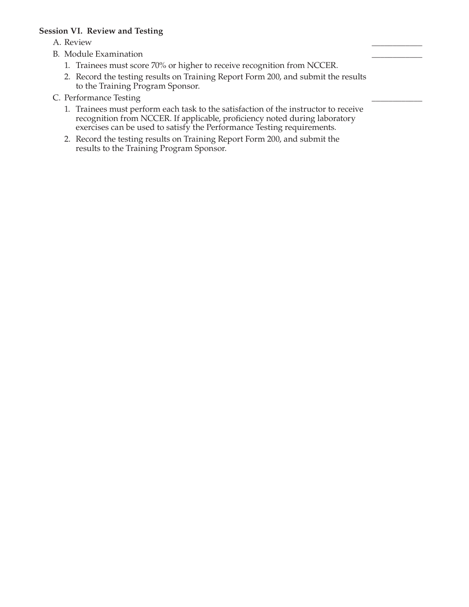#### **Session VI. Review and Testing**

A. Review \_\_\_\_\_\_\_\_\_\_\_\_

- B. Module Examination
	- 1. Trainees must score 70% or higher to receive recognition from NCCER.
	- 2. Record the testing results on Training Report Form 200, and submit the results to the Training Program Sponsor.
- C. Performance Testing
	- 1. Trainees must perform each task to the satisfaction of the instructor to receive recognition from NCCER. If applicable, proficiency noted during laboratory exercises can be used to satisfy the Performance Testing requirements.
	- 2. Record the testing results on Training Report Form 200, and submit the results to the Training Program Sponsor.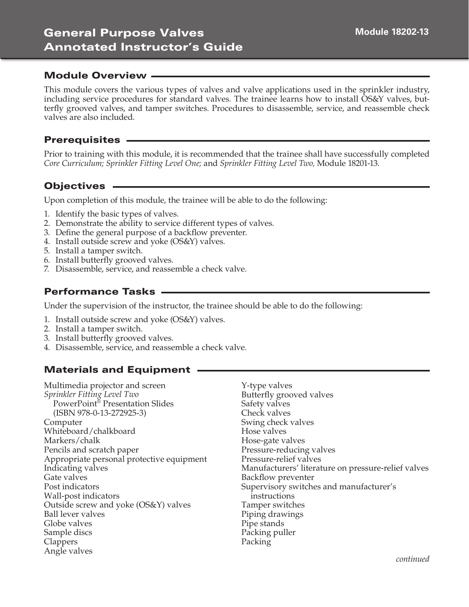This module covers the various types of valves and valve applications used in the sprinkler industry, including service procedures for standard valves. The trainee learns how to install OS&Y valves, butterfly grooved valves, and tamper switches. Procedures to disassemble, service, and reassemble check valves are also included.

### **Prerequisites -**

Prior to training with this module, it is recommended that the trainee shall have successfully completed *Core Curriculum; Sprinkler Fitting Level One;* and *Sprinkler Fitting Level Two,* Module 18201-13.

## Objectives

Upon completion of this module, the trainee will be able to do the following:

- 1. Identify the basic types of valves.
- 2. Demonstrate the ability to service different types of valves.
- 3. Define the general purpose of a backflow preventer.
- 4. Install outside screw and yoke (OS&Y) valves.
- 5. Install a tamper switch.
- 6. Install butterfly grooved valves.
- 7. Disassemble, service, and reassemble a check valve.

## Performance Tasks

Under the supervision of the instructor, the trainee should be able to do the following:

- 1. Install outside screw and yoke (OS&Y) valves.
- 2. Install a tamper switch.
- 3. Install butterfly grooved valves.
- 4. Disassemble, service, and reassemble a check valve.

## Materials and Equipment

Multimedia projector and screen *Sprinkler Fitting Level Two* PowerPoint® Presentation Slides (ISBN 978-0-13-272925-3) Computer Whiteboard/chalkboard Markers/chalk Pencils and scratch paper Appropriate personal protective equipment Indicating valves Gate valves Post indicators Wall-post indicators Outside screw and yoke (OS&Y) valves Ball lever valves Globe valves Sample discs **Clappers** Angle valves

Y-type valves Butterfly grooved valves Safety valves Check valves Swing check valves Hose valves Hose-gate valves Pressure-reducing valves Pressure-relief valves Manufacturers' literature on pressure-relief valves Backflow preventer Supervisory switches and manufacturer's instructions Tamper switches Piping drawings Pipe stands Packing puller Packing

*continued*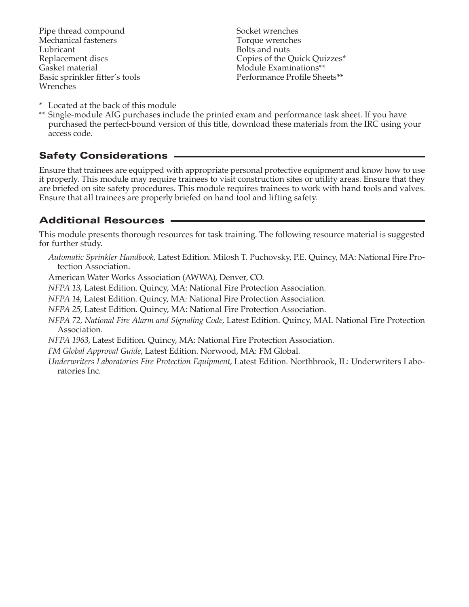Pipe thread compound Mechanical fasteners Lubricant Replacement discs Gasket material Basic sprinkler fitter's tools Wrenches

Socket wrenches Torque wrenches Bolts and nuts Copies of the Quick Quizzes\* Module Examinations\*\* Performance Profile Sheets\*\*

- \* Located at the back of this module
- \*\* Single-module AIG purchases include the printed exam and performance task sheet. If you have purchased the perfect-bound version of this title, download these materials from the IRC using your access code.

## Safety Considerations

Ensure that trainees are equipped with appropriate personal protective equipment and know how to use it properly. This module may require trainees to visit construction sites or utility areas. Ensure that they are briefed on site safety procedures. This module requires trainees to work with hand tools and valves. Ensure that all trainees are properly briefed on hand tool and lifting safety.

## Additional Resources

This module presents thorough resources for task training. The following resource material is suggested for further study.

*Automatic Sprinkler Handbook,* Latest Edition. Milosh T. Puchovsky, P.E. Quincy, MA: National Fire Protection Association.

American Water Works Association (AWWA), Denver, CO.

*NFPA 13*, Latest Edition. Quincy, MA: National Fire Protection Association.

*NFPA 14*, Latest Edition. Quincy, MA: National Fire Protection Association.

*NFPA 25*, Latest Edition. Quincy, MA: National Fire Protection Association.

*NFPA 72, National Fire Alarm and Signaling Code*, Latest Edition. Quincy, MAL National Fire Protection Association.

*NFPA 1963*, Latest Edition. Quincy, MA: National Fire Protection Association.

*FM Global Approval Guide*, Latest Edition. Norwood, MA: FM Global.

*Underwriters Laboratories Fire Protection Equipment*, Latest Edition. Northbrook, IL: Underwriters Laboratories Inc.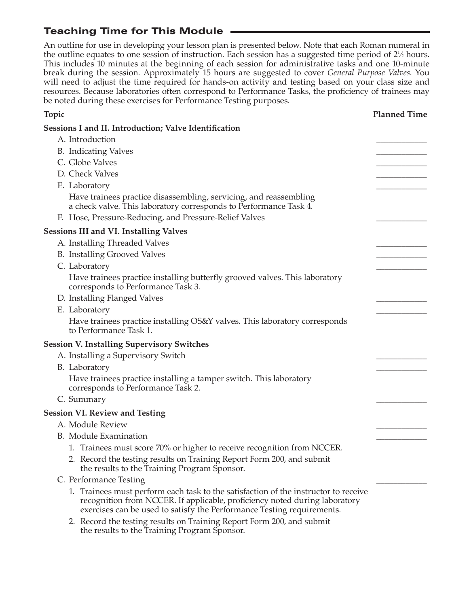# Teaching Time for This Module

An outline for use in developing your lesson plan is presented below. Note that each Roman numeral in the outline equates to one session of instruction. Each session has a suggested time period of 2<sup>1</sup>/<sub>2</sub> hours. This includes 10 minutes at the beginning of each session for administrative tasks and one 10-minute break during the session. Approximately 15 hours are suggested to cover *General Purpose Valves*. You will need to adjust the time required for hands-on activity and testing based on your class size and resources. Because laboratories often correspond to Performance Tasks, the proficiency of trainees may be noted during these exercises for Performance Testing purposes.

| Topic                                                                                                                                                                                                                                       | <b>Planned Time</b> |
|---------------------------------------------------------------------------------------------------------------------------------------------------------------------------------------------------------------------------------------------|---------------------|
| <b>Sessions I and II. Introduction; Valve Identification</b>                                                                                                                                                                                |                     |
| A. Introduction                                                                                                                                                                                                                             |                     |
| <b>B.</b> Indicating Valves                                                                                                                                                                                                                 |                     |
| C. Globe Valves                                                                                                                                                                                                                             |                     |
| D. Check Valves                                                                                                                                                                                                                             |                     |
| E. Laboratory                                                                                                                                                                                                                               |                     |
| Have trainees practice disassembling, servicing, and reassembling<br>a check valve. This laboratory corresponds to Performance Task 4.                                                                                                      |                     |
| F. Hose, Pressure-Reducing, and Pressure-Relief Valves                                                                                                                                                                                      |                     |
| <b>Sessions III and VI. Installing Valves</b>                                                                                                                                                                                               |                     |
| A. Installing Threaded Valves                                                                                                                                                                                                               |                     |
| <b>B.</b> Installing Grooved Valves                                                                                                                                                                                                         |                     |
| C. Laboratory                                                                                                                                                                                                                               |                     |
| Have trainees practice installing butterfly grooved valves. This laboratory<br>corresponds to Performance Task 3.                                                                                                                           |                     |
| D. Installing Flanged Valves                                                                                                                                                                                                                |                     |
| E. Laboratory                                                                                                                                                                                                                               |                     |
| Have trainees practice installing OS&Y valves. This laboratory corresponds<br>to Performance Task 1.                                                                                                                                        |                     |
| <b>Session V. Installing Supervisory Switches</b>                                                                                                                                                                                           |                     |
| A. Installing a Supervisory Switch                                                                                                                                                                                                          |                     |
| B. Laboratory                                                                                                                                                                                                                               |                     |
| Have trainees practice installing a tamper switch. This laboratory<br>corresponds to Performance Task 2.                                                                                                                                    |                     |
| C. Summary                                                                                                                                                                                                                                  |                     |
| <b>Session VI. Review and Testing</b>                                                                                                                                                                                                       |                     |
| A. Module Review                                                                                                                                                                                                                            |                     |
| <b>B.</b> Module Examination                                                                                                                                                                                                                |                     |
| 1. Trainees must score 70% or higher to receive recognition from NCCER.                                                                                                                                                                     |                     |
| 2. Record the testing results on Training Report Form 200, and submit<br>the results to the Training Program Sponsor.                                                                                                                       |                     |
| C. Performance Testing                                                                                                                                                                                                                      |                     |
| 1. Trainees must perform each task to the satisfaction of the instructor to receive<br>recognition from NCCER. If applicable, proficiency noted during laboratory<br>exercises can be used to satisfy the Performance Testing requirements. |                     |
| 2. Record the testing results on Training Report Form 200, and submit<br>the results to the Training Program Sponsor.                                                                                                                       |                     |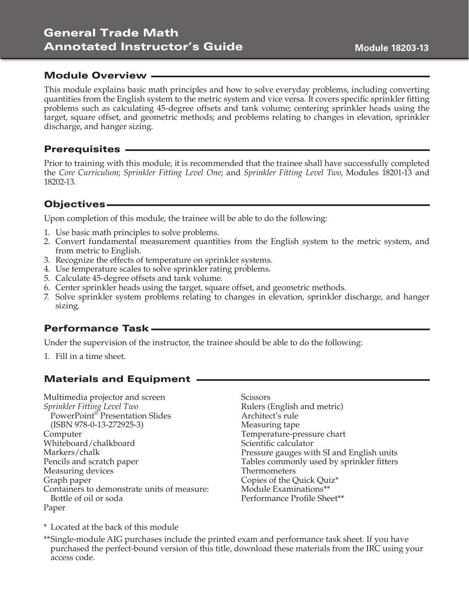# General Trade Math Annotated Instructor's Guide

#### Module Overview

This module explains basic math principles and how to solve everyday problems, including converting quantities from the English system to the metric system and vice versa. It covers specific sprinkler fitting problems such as calculating 45-degree offsets and tank volume; centering sprinkler heads using the target, square offset, and geometric methods; and problems relating to changes in elevation, sprinkler discharge, and hanger sizing.

#### Prerequisites

Prior to training with this module, it is recommended that the trainee shall have successfully completed the *Core Curriculum*; *Sprinkler Fitting Level One*; and *Sprinkler Fitting Level Two*, Modules 18201-13 and 18202-13.

### Objectives

Upon completion of this module, the trainee will be able to do the following:

- 1. Use basic math principles to solve problems.
- 2. Convert fundamental measurement quantities from the English system to the metric system, and from metric to English.
- 3. Recognize the effects of temperature on sprinkler systems.
- 4. Use temperature scales to solve sprinkler rating problems.
- 5. Calculate 45-degree offsets and tank volume.
- 6. Center sprinkler heads using the target, square offset, and geometric methods.
- 7. Solve sprinkler system problems relating to changes in elevation, sprinkler discharge, and hanger sizing.

## Performance Task

Under the supervision of the instructor, the trainee should be able to do the following:

1. Fill in a time sheet.

## Materials and Equipment

Multimedia projector and screen *Sprinkler Fitting Level Two* PowerPoint® Presentation Slides (ISBN 978-0-13-272925-3) Computer Whiteboard/chalkboard Markers/chalk Pencils and scratch paper Measuring devices Graph paper Containers to demonstrate units of measure: Bottle of oil or soda Paper

**Scissors** Rulers (English and metric) Architect's rule Measuring tape Temperature-pressure chart Scientific calculator Pressure gauges with SI and English units Tables commonly used by sprinkler fitters Thermometers Copies of the Quick Quiz\* Module Examinations\*\* Performance Profile Sheet\*\*

\* Located at the back of this module

\*\*Single-module AIG purchases include the printed exam and performance task sheet. If you have purchased the perfect-bound version of this title, download these materials from the IRC using your access code.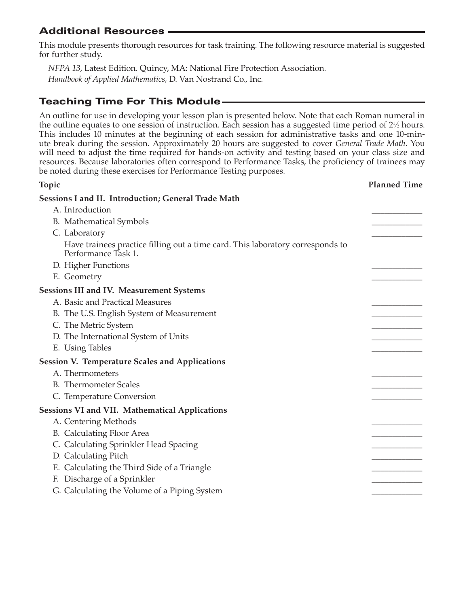## Additional Resources

This module presents thorough resources for task training. The following resource material is suggested for further study.

*NFPA 13*, Latest Edition. Quincy, MA: National Fire Protection Association. *Handbook of Applied Mathematics,* D. Van Nostrand Co., Inc.

# Teaching Time For This Module

An outline for use in developing your lesson plan is presented below. Note that each Roman numeral in the outline equates to one session of instruction. Each session has a suggested time period of  $2\frac{1}{2}$  hours. This includes 10 minutes at the beginning of each session for administrative tasks and one 10-minute break during the session. Approximately 20 hours are suggested to cover *General Trade Math*. You will need to adjust the time required for hands-on activity and testing based on your class size and resources. Because laboratories often correspond to Performance Tasks, the proficiency of trainees may be noted during these exercises for Performance Testing purposes.

## **Topic Planned Time Sessions I and II. Introduction; General Trade Math**  A. Introduction B. Mathematical Symbols C. Laboratory Have trainees practice filling out a time card. This laboratory corresponds to Performance Task 1. D. Higher Functions E. Geometry **Sessions III and IV. Measurement Systems**  A. Basic and Practical Measures B. The U.S. English System of Measurement C. The Metric System D. The International System of Units E. Using Tables **Session V. Temperature Scales and Applications**  A. Thermometers B. Thermometer Scales C. Temperature Conversion **Sessions VI and VII. Mathematical Applications**  A. Centering Methods B. Calculating Floor Area C. Calculating Sprinkler Head Spacing D. Calculating Pitch E. Calculating the Third Side of a Triangle F. Discharge of a Sprinkler G. Calculating the Volume of a Piping System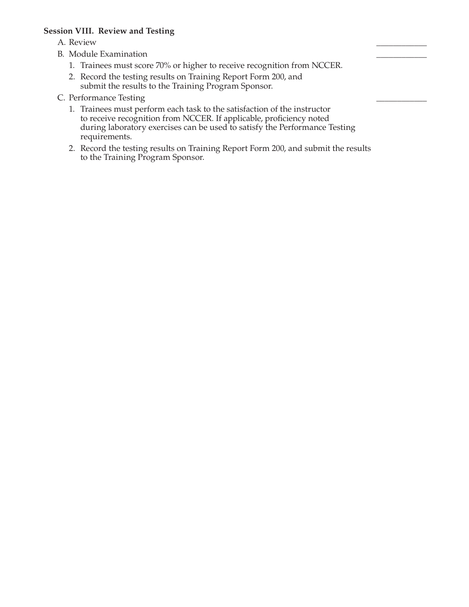#### **Session VIII. Review and Testing**

- A. Review \_\_\_\_\_\_\_\_\_\_\_\_
- B. Module Examination
	- 1. Trainees must score 70% or higher to receive recognition from NCCER.
	- 2. Record the testing results on Training Report Form 200, and submit the results to the Training Program Sponsor.
- C. Performance Testing
	- 1. Trainees must perform each task to the satisfaction of the instructor to receive recognition from NCCER. If applicable, proficiency noted during laboratory exercises can be used to satisfy the Performance Testing requirements.
	- 2. Record the testing results on Training Report Form 200, and submit the results to the Training Program Sponsor.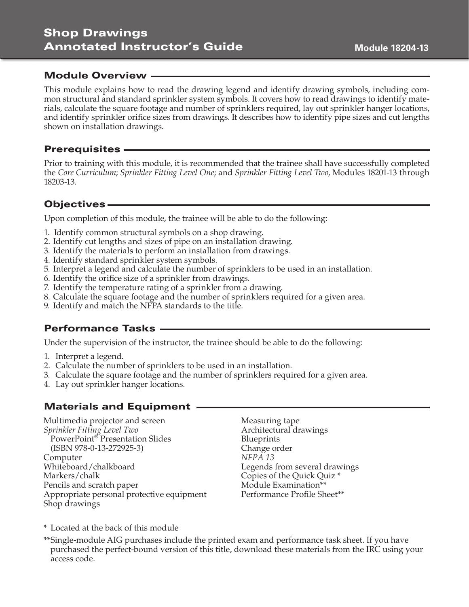This module explains how to read the drawing legend and identify drawing symbols, including common structural and standard sprinkler system symbols. It covers how to read drawings to identify materials, calculate the square footage and number of sprinklers required, lay out sprinkler hanger locations, and identify sprinkler orifice sizes from drawings. It describes how to identify pipe sizes and cut lengths shown on installation drawings.

### Prerequisites

Prior to training with this module, it is recommended that the trainee shall have successfully completed the *Core Curriculum*; *Sprinkler Fitting Level One*; and *Sprinkler Fitting Level Two*, Modules 18201-13 through 18203-13.

## Objectives

Upon completion of this module, the trainee will be able to do the following:

- 1. Identify common structural symbols on a shop drawing.
- 2. Identify cut lengths and sizes of pipe on an installation drawing.
- 3. Identify the materials to perform an installation from drawings.
- 4. Identify standard sprinkler system symbols.
- 5. Interpret a legend and calculate the number of sprinklers to be used in an installation.
- 6. Identify the orifice size of a sprinkler from drawings.
- 7. Identify the temperature rating of a sprinkler from a drawing.
- 8. Calculate the square footage and the number of sprinklers required for a given area.
- 9. Identify and match the NFPA standards to the title.

## Performance Tasks

Under the supervision of the instructor, the trainee should be able to do the following:

- 1. Interpret a legend.
- 2. Calculate the number of sprinklers to be used in an installation.
- 3. Calculate the square footage and the number of sprinklers required for a given area.
- 4. Lay out sprinkler hanger locations.

# Materials and Equipment

Multimedia projector and screen *Sprinkler Fitting Level Two* PowerPoint® Presentation Slides (ISBN 978-0-13-272925-3) Computer Whiteboard/chalkboard Markers/chalk Pencils and scratch paper Appropriate personal protective equipment Shop drawings

Measuring tape Architectural drawings **Blueprints** Change order *NFPA 13* Legends from several drawings Copies of the Quick Quiz \* Module Examination\*\* Performance Profile Sheet\*\*

\* Located at the back of this module

\*\*Single-module AIG purchases include the printed exam and performance task sheet. If you have purchased the perfect-bound version of this title, download these materials from the IRC using your access code.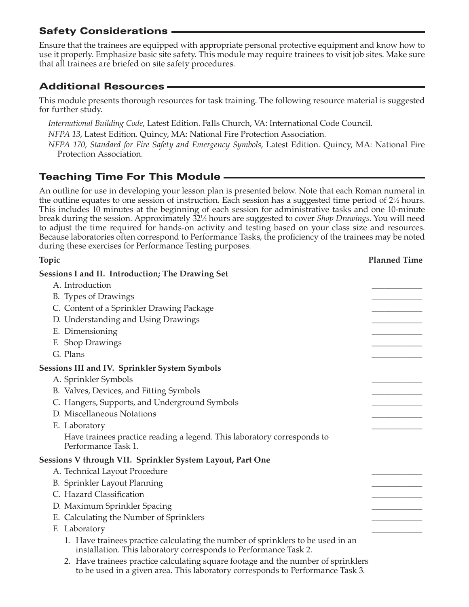# Safety Considerations

Ensure that the trainees are equipped with appropriate personal protective equipment and know how to use it properly. Emphasize basic site safety. This module may require trainees to visit job sites. Make sure that all trainees are briefed on site safety procedures.

# Additional Resources

This module presents thorough resources for task training. The following resource material is suggested for further study.

*International Building Code*, Latest Edition. Falls Church, VA: International Code Council.

*NFPA 13*, Latest Edition. Quincy, MA: National Fire Protection Association.

*NFPA 170*, *Standard for Fire Safety and Emergency Symbols*, Latest Edition. Quincy, MA: National Fire Protection Association.

# Teaching Time For This Module

An outline for use in developing your lesson plan is presented below. Note that each Roman numeral in the outline equates to one session of instruction. Each session has a suggested time period of  $2\frac{1}{2}$  hours. This includes 10 minutes at the beginning of each session for administrative tasks and one 10-minute break during the session. Approximately 321 ⁄2 hours are suggested to cover *Shop Drawings*. You will need to adjust the time required for hands-on activity and testing based on your class size and resources. Because laboratories often correspond to Performance Tasks, the proficiency of the trainees may be noted during these exercises for Performance Testing purposes.

| <b>Topic</b>                                                                                                                                        | <b>Planned Time</b> |
|-----------------------------------------------------------------------------------------------------------------------------------------------------|---------------------|
| Sessions I and II. Introduction; The Drawing Set                                                                                                    |                     |
| A. Introduction                                                                                                                                     |                     |
| B. Types of Drawings                                                                                                                                |                     |
| C. Content of a Sprinkler Drawing Package                                                                                                           |                     |
| D. Understanding and Using Drawings                                                                                                                 |                     |
| E. Dimensioning                                                                                                                                     |                     |
| F. Shop Drawings                                                                                                                                    |                     |
| G. Plans                                                                                                                                            |                     |
| Sessions III and IV. Sprinkler System Symbols                                                                                                       |                     |
| A. Sprinkler Symbols                                                                                                                                |                     |
| B. Valves, Devices, and Fitting Symbols                                                                                                             |                     |
| C. Hangers, Supports, and Underground Symbols                                                                                                       |                     |
| D. Miscellaneous Notations                                                                                                                          |                     |
| E. Laboratory                                                                                                                                       |                     |
| Have trainees practice reading a legend. This laboratory corresponds to<br>Performance Task 1.                                                      |                     |
| Sessions V through VII. Sprinkler System Layout, Part One                                                                                           |                     |
| A. Technical Layout Procedure                                                                                                                       |                     |
| B. Sprinkler Layout Planning                                                                                                                        |                     |
| C. Hazard Classification                                                                                                                            |                     |
| D. Maximum Sprinkler Spacing                                                                                                                        |                     |
| E. Calculating the Number of Sprinklers                                                                                                             |                     |
| F. Laboratory                                                                                                                                       |                     |
| 1. Have trainees practice calculating the number of sprinklers to be used in an<br>installation. This laboratory corresponds to Performance Task 2. |                     |
| 2. Have trainees practice calculating square footage and the number of sprinklers                                                                   |                     |

to be used in a given area. This laboratory corresponds to Performance Task 3.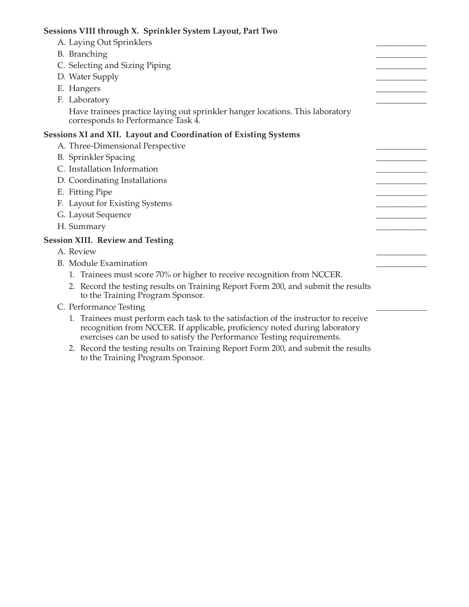| Sessions VIII through X. Sprinkler System Layout, Part Two                                                                                                                                                                                  |  |
|---------------------------------------------------------------------------------------------------------------------------------------------------------------------------------------------------------------------------------------------|--|
| A. Laying Out Sprinklers                                                                                                                                                                                                                    |  |
| B. Branching                                                                                                                                                                                                                                |  |
| C. Selecting and Sizing Piping                                                                                                                                                                                                              |  |
| D. Water Supply                                                                                                                                                                                                                             |  |
| E. Hangers                                                                                                                                                                                                                                  |  |
| F. Laboratory                                                                                                                                                                                                                               |  |
| Have trainees practice laying out sprinkler hanger locations. This laboratory<br>corresponds to Performance Task 4.                                                                                                                         |  |
| Sessions XI and XII. Layout and Coordination of Existing Systems                                                                                                                                                                            |  |
| A. Three-Dimensional Perspective                                                                                                                                                                                                            |  |
| <b>B.</b> Sprinkler Spacing                                                                                                                                                                                                                 |  |
| C. Installation Information                                                                                                                                                                                                                 |  |
| D. Coordinating Installations                                                                                                                                                                                                               |  |
| E. Fitting Pipe                                                                                                                                                                                                                             |  |
| F. Layout for Existing Systems                                                                                                                                                                                                              |  |
| G. Layout Sequence                                                                                                                                                                                                                          |  |
| H. Summary                                                                                                                                                                                                                                  |  |
| <b>Session XIII. Review and Testing</b>                                                                                                                                                                                                     |  |
| A. Review                                                                                                                                                                                                                                   |  |
| B. Module Examination                                                                                                                                                                                                                       |  |
| 1. Trainees must score 70% or higher to receive recognition from NCCER.                                                                                                                                                                     |  |
| 2. Record the testing results on Training Report Form 200, and submit the results<br>to the Training Program Sponsor.                                                                                                                       |  |
| C. Performance Testing                                                                                                                                                                                                                      |  |
| 1. Trainees must perform each task to the satisfaction of the instructor to receive<br>recognition from NCCER. If applicable, proficiency noted during laboratory<br>exercises can be used to satisfy the Performance Testing requirements. |  |

 2. Record the testing results on Training Report Form 200, and submit the results to the Training Program Sponsor.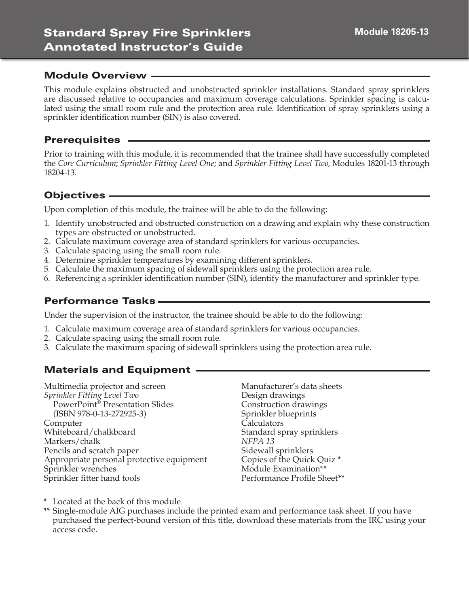This module explains obstructed and unobstructed sprinkler installations. Standard spray sprinklers are discussed relative to occupancies and maximum coverage calculations. Sprinkler spacing is calculated using the small room rule and the protection area rule. Identification of spray sprinklers using a sprinkler identification number (SIN) is also covered.

### **Prerequisites -**

Prior to training with this module, it is recommended that the trainee shall have successfully completed the *Core Curriculum*; *Sprinkler Fitting Level One*; and *Sprinkler Fitting Level Two*, Modules 18201-13 through 18204-13.

## Objectives

Upon completion of this module, the trainee will be able to do the following:

- 1. Identify unobstructed and obstructed construction on a drawing and explain why these construction types are obstructed or unobstructed.
- 2. Calculate maximum coverage area of standard sprinklers for various occupancies.
- 3. Calculate spacing using the small room rule.
- 4. Determine sprinkler temperatures by examining different sprinklers.
- 5. Calculate the maximum spacing of sidewall sprinklers using the protection area rule.
- 6. Referencing a sprinkler identification number (SIN), identify the manufacturer and sprinkler type.

## Performance Tasks

Under the supervision of the instructor, the trainee should be able to do the following:

- 1. Calculate maximum coverage area of standard sprinklers for various occupancies.
- 2. Calculate spacing using the small room rule.
- 3. Calculate the maximum spacing of sidewall sprinklers using the protection area rule.

# Materials and Equipment

Multimedia projector and screen *Sprinkler Fitting Level Two* PowerPoint® Presentation Slides (ISBN 978-0-13-272925-3) Computer Whiteboard/chalkboard Markers/chalk Pencils and scratch paper Appropriate personal protective equipment Sprinkler wrenches Sprinkler fitter hand tools

Manufacturer's data sheets Design drawings Construction drawings Sprinkler blueprints Calculators Standard spray sprinklers *NFPA 13* Sidewall sprinklers Copies of the Quick Quiz \* Module Examination\*\* Performance Profile Sheet\*\*

\* Located at the back of this module

\*\* Single-module AIG purchases include the printed exam and performance task sheet. If you have purchased the perfect-bound version of this title, download these materials from the IRC using your access code.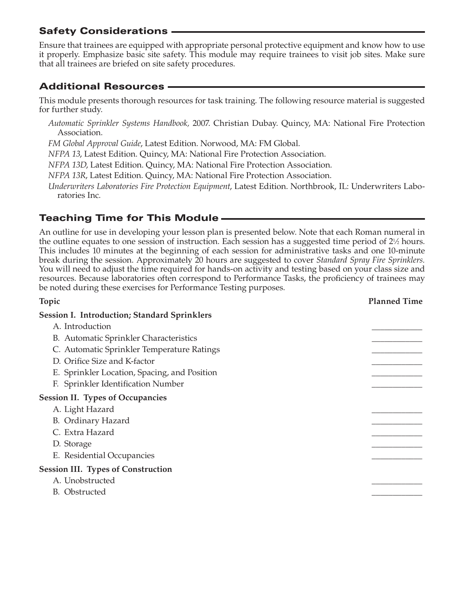## Safety Considerations

Ensure that trainees are equipped with appropriate personal protective equipment and know how to use it properly. Emphasize basic site safety. This module may require trainees to visit job sites. Make sure that all trainees are briefed on site safety procedures.

# Additional Resources

This module presents thorough resources for task training. The following resource material is suggested for further study.

*Automatic Sprinkler Systems Handbook,* 2007. Christian Dubay. Quincy, MA: National Fire Protection Association.

*FM Global Approval Guide*, Latest Edition. Norwood, MA: FM Global.

*NFPA 13*, Latest Edition. Quincy, MA: National Fire Protection Association.

*NFPA 13D*, Latest Edition. Quincy, MA: National Fire Protection Association.

*NFPA 13R*, Latest Edition. Quincy, MA: National Fire Protection Association.

*Underwriters Laboratories Fire Protection Equipment*, Latest Edition. Northbrook, IL: Underwriters Laboratories Inc.

# Teaching Time for This Module

An outline for use in developing your lesson plan is presented below. Note that each Roman numeral in the outline equates to one session of instruction. Each session has a suggested time period of  $2\frac{1}{2}$  hours. This includes 10 minutes at the beginning of each session for administrative tasks and one 10-minute break during the session. Approximately 20 hours are suggested to cover *Standard Spray Fire Sprinklers.* You will need to adjust the time required for hands-on activity and testing based on your class size and resources. Because laboratories often correspond to Performance Tasks, the proficiency of trainees may be noted during these exercises for Performance Testing purposes.

| Topic                                               | <b>Planned Time</b> |
|-----------------------------------------------------|---------------------|
| <b>Session I. Introduction; Standard Sprinklers</b> |                     |
| A. Introduction                                     |                     |
| B. Automatic Sprinkler Characteristics              |                     |
| C. Automatic Sprinkler Temperature Ratings          |                     |
| D. Orifice Size and K-factor                        |                     |
| E. Sprinkler Location, Spacing, and Position        |                     |
| F. Sprinkler Identification Number                  |                     |
| <b>Session II. Types of Occupancies</b>             |                     |
| A. Light Hazard                                     |                     |
| B. Ordinary Hazard                                  |                     |
| C. Extra Hazard                                     |                     |
| D. Storage                                          |                     |
| E. Residential Occupancies                          |                     |
| <b>Session III. Types of Construction</b>           |                     |
| A. Unobstructed                                     |                     |
| B. Obstructed                                       |                     |
|                                                     |                     |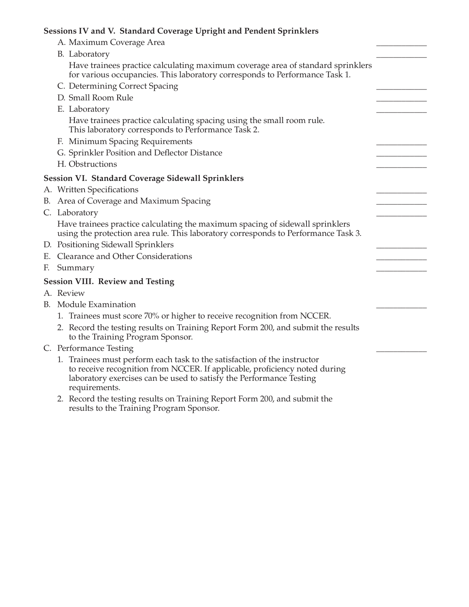## **Sessions IV and V. Standard Coverage Upright and Pendent Sprinklers**

| A. Maximum Coverage Area                                                                                                                                                                                                                       |  |
|------------------------------------------------------------------------------------------------------------------------------------------------------------------------------------------------------------------------------------------------|--|
| B. Laboratory                                                                                                                                                                                                                                  |  |
| Have trainees practice calculating maximum coverage area of standard sprinklers<br>for various occupancies. This laboratory corresponds to Performance Task 1.                                                                                 |  |
| C. Determining Correct Spacing                                                                                                                                                                                                                 |  |
| D. Small Room Rule                                                                                                                                                                                                                             |  |
| E. Laboratory                                                                                                                                                                                                                                  |  |
| Have trainees practice calculating spacing using the small room rule.<br>This laboratory corresponds to Performance Task 2.                                                                                                                    |  |
| F. Minimum Spacing Requirements                                                                                                                                                                                                                |  |
| G. Sprinkler Position and Deflector Distance                                                                                                                                                                                                   |  |
| H. Obstructions                                                                                                                                                                                                                                |  |
| <b>Session VI. Standard Coverage Sidewall Sprinklers</b>                                                                                                                                                                                       |  |
| A. Written Specifications                                                                                                                                                                                                                      |  |
| B. Area of Coverage and Maximum Spacing                                                                                                                                                                                                        |  |
| C. Laboratory                                                                                                                                                                                                                                  |  |
| Have trainees practice calculating the maximum spacing of sidewall sprinklers<br>using the protection area rule. This laboratory corresponds to Performance Task 3.                                                                            |  |
| D. Positioning Sidewall Sprinklers                                                                                                                                                                                                             |  |
| E. Clearance and Other Considerations                                                                                                                                                                                                          |  |
| F. Summary                                                                                                                                                                                                                                     |  |
| <b>Session VIII. Review and Testing</b>                                                                                                                                                                                                        |  |
| A. Review                                                                                                                                                                                                                                      |  |
| B. Module Examination                                                                                                                                                                                                                          |  |
| 1. Trainees must score 70% or higher to receive recognition from NCCER.                                                                                                                                                                        |  |
| 2. Record the testing results on Training Report Form 200, and submit the results<br>to the Training Program Sponsor.                                                                                                                          |  |
| C. Performance Testing                                                                                                                                                                                                                         |  |
| 1. Trainees must perform each task to the satisfaction of the instructor<br>to receive recognition from NCCER. If applicable, proficiency noted during<br>laboratory exercises can be used to satisfy the Performance Testing<br>requirements. |  |
| and the contract of the con-<br>___                                                                                                                                                                                                            |  |

2. Record the testing results on Training Report Form 200, and submit the results to the Training Program Sponsor.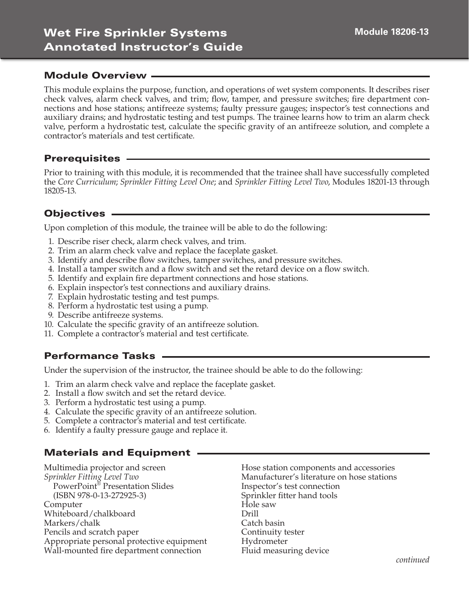This module explains the purpose, function, and operations of wet system components. It describes riser check valves, alarm check valves, and trim; flow, tamper, and pressure switches; fire department connections and hose stations; antifreeze systems; faulty pressure gauges; inspector's test connections and auxiliary drains; and hydrostatic testing and test pumps. The trainee learns how to trim an alarm check valve, perform a hydrostatic test, calculate the specific gravity of an antifreeze solution, and complete a contractor's materials and test certificate.

### **Prerequisites -**

Prior to training with this module, it is recommended that the trainee shall have successfully completed the *Core Curriculum*; *Sprinkler Fitting Level One*; and *Sprinkler Fitting Level Two*, Modules 18201-13 through 18205-13.

## Objectives

Upon completion of this module, the trainee will be able to do the following:

- 1. Describe riser check, alarm check valves, and trim.
- 2. Trim an alarm check valve and replace the faceplate gasket.
- 3. Identify and describe flow switches, tamper switches, and pressure switches.
- 4. Install a tamper switch and a flow switch and set the retard device on a flow switch.
- 5. Identify and explain fire department connections and hose stations.
- 6. Explain inspector's test connections and auxiliary drains.
- 7. Explain hydrostatic testing and test pumps.
- 8. Perform a hydrostatic test using a pump.
- 9. Describe antifreeze systems.
- 10. Calculate the specific gravity of an antifreeze solution.
- 11. Complete a contractor's material and test certificate.

## Performance Tasks

Under the supervision of the instructor, the trainee should be able to do the following:

- 1. Trim an alarm check valve and replace the faceplate gasket.
- 2. Install a flow switch and set the retard device.
- 3. Perform a hydrostatic test using a pump.
- 4. Calculate the specific gravity of an antifreeze solution.
- 5. Complete a contractor's material and test certificate.
- 6. Identify a faulty pressure gauge and replace it.

# Materials and Equipment

Multimedia projector and screen *Sprinkler Fitting Level Two* PowerPoint® Presentation Slides (ISBN 978-0-13-272925-3) Computer Whiteboard/chalkboard Markers/chalk Pencils and scratch paper Appropriate personal protective equipment Wall-mounted fire department connection

Hose station components and accessories Manufacturer's literature on hose stations Inspector's test connection Sprinkler fitter hand tools Hole saw Drill Catch basin Continuity tester Hydrometer Fluid measuring device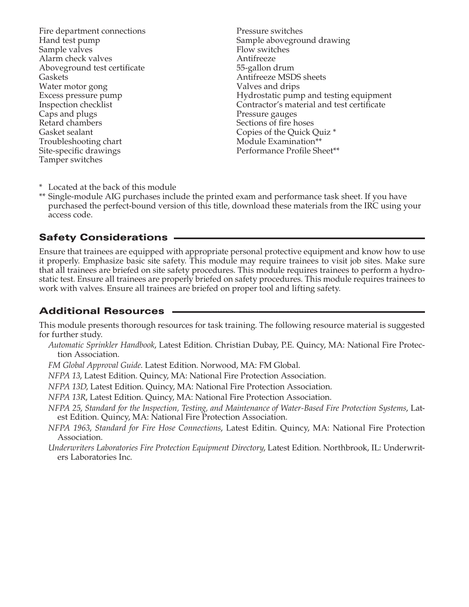Fire department connections Hand test pump Sample valves Alarm check valves Aboveground test certificate Gaskets Water motor gong Excess pressure pump Inspection checklist Caps and plugs Retard chambers Gasket sealant Troubleshooting chart Site-specific drawings Tamper switches

Pressure switches Sample aboveground drawing Flow switches Antifreeze 55-gallon drum Antifreeze MSDS sheets Valves and drips Hydrostatic pump and testing equipment Contractor's material and test certificate Pressure gauges Sections of fire hoses Copies of the Quick Quiz \* Module Examination\*\* Performance Profile Sheet\*\*

\* Located at the back of this module

\*\* Single-module AIG purchases include the printed exam and performance task sheet. If you have purchased the perfect-bound version of this title, download these materials from the IRC using your access code.

### Safety Considerations

Ensure that trainees are equipped with appropriate personal protective equipment and know how to use it properly. Emphasize basic site safety. This module may require trainees to visit job sites. Make sure that all trainees are briefed on site safety procedures. This module requires trainees to perform a hydrostatic test. Ensure all trainees are properly briefed on safety procedures. This module requires trainees to work with valves. Ensure all trainees are briefed on proper tool and lifting safety.

## Additional Resources

This module presents thorough resources for task training. The following resource material is suggested for further study.

*Automatic Sprinkler Handbook*, Latest Edition. Christian Dubay, P.E. Quincy, MA: National Fire Protection Association.

*FM Global Approval Guide*. Latest Edition. Norwood, MA: FM Global.

*NFPA 13*, Latest Edition. Quincy, MA: National Fire Protection Association.

*NFPA 13D*, Latest Edition. Quincy, MA: National Fire Protection Association.

*NFPA 13R*, Latest Edition. Quincy, MA: National Fire Protection Association.

- *NFPA 25*, *Standard for the Inspection, Testing, and Maintenance of Water-Based Fire Protection Systems*, Latest Edition. Quincy, MA: National Fire Protection Association.
- *NFPA 1963*, *Standard for Fire Hose Connections*, Latest Editin. Quincy, MA: National Fire Protection Association.
- *Underwriters Laboratories Fire Protection Equipment Directory*, Latest Edition. Northbrook, IL: Underwriters Laboratories Inc.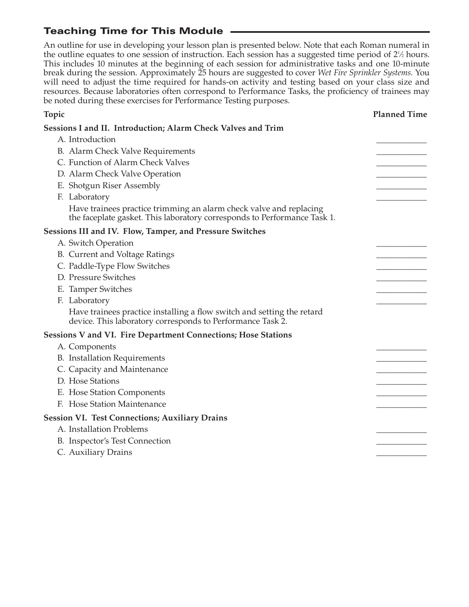# Teaching Time for This Module

An outline for use in developing your lesson plan is presented below. Note that each Roman numeral in the outline equates to one session of instruction. Each session has a suggested time period of 2<sup>1</sup>/<sub>2</sub> hours. This includes 10 minutes at the beginning of each session for administrative tasks and one 10-minute break during the session. Approximately 25 hours are suggested to cover *Wet Fire Sprinkler Systems*. You will need to adjust the time required for hands-on activity and testing based on your class size and resources. Because laboratories often correspond to Performance Tasks, the proficiency of trainees may be noted during these exercises for Performance Testing purposes.

| Topic                                                                                                                                          | <b>Planned Time</b> |
|------------------------------------------------------------------------------------------------------------------------------------------------|---------------------|
| Sessions I and II. Introduction; Alarm Check Valves and Trim                                                                                   |                     |
| A. Introduction                                                                                                                                |                     |
| B. Alarm Check Valve Requirements                                                                                                              |                     |
| C. Function of Alarm Check Valves                                                                                                              |                     |
| D. Alarm Check Valve Operation                                                                                                                 |                     |
| E. Shotgun Riser Assembly                                                                                                                      |                     |
| F. Laboratory                                                                                                                                  |                     |
| Have trainees practice trimming an alarm check valve and replacing<br>the faceplate gasket. This laboratory corresponds to Performance Task 1. |                     |
| <b>Sessions III and IV. Flow, Tamper, and Pressure Switches</b>                                                                                |                     |
| A. Switch Operation                                                                                                                            |                     |
| B. Current and Voltage Ratings                                                                                                                 |                     |
| C. Paddle-Type Flow Switches                                                                                                                   |                     |
| D. Pressure Switches                                                                                                                           |                     |
| E. Tamper Switches                                                                                                                             |                     |
| F. Laboratory                                                                                                                                  |                     |
| Have trainees practice installing a flow switch and setting the retard<br>device. This laboratory corresponds to Performance Task 2.           |                     |
| <b>Sessions V and VI. Fire Department Connections; Hose Stations</b>                                                                           |                     |
| A. Components                                                                                                                                  |                     |
| <b>B.</b> Installation Requirements                                                                                                            |                     |
| C. Capacity and Maintenance                                                                                                                    |                     |
| D. Hose Stations                                                                                                                               |                     |
| E. Hose Station Components                                                                                                                     |                     |
| F. Hose Station Maintenance                                                                                                                    |                     |
| <b>Session VI. Test Connections; Auxiliary Drains</b>                                                                                          |                     |
| A. Installation Problems                                                                                                                       |                     |
| B. Inspector's Test Connection                                                                                                                 |                     |
| C. Auxiliary Drains                                                                                                                            |                     |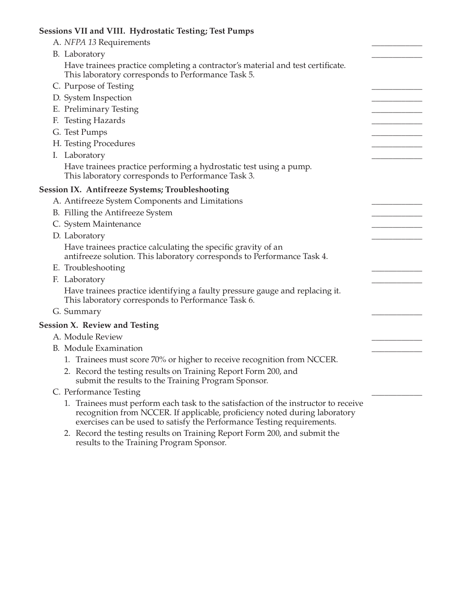| Sessions VII and VIII. Hydrostatic Testing; Test Pumps                                                                                                                                                                                      |  |
|---------------------------------------------------------------------------------------------------------------------------------------------------------------------------------------------------------------------------------------------|--|
| A. NFPA 13 Requirements                                                                                                                                                                                                                     |  |
| B. Laboratory                                                                                                                                                                                                                               |  |
| Have trainees practice completing a contractor's material and test certificate.<br>This laboratory corresponds to Performance Task 5.                                                                                                       |  |
| C. Purpose of Testing                                                                                                                                                                                                                       |  |
| D. System Inspection                                                                                                                                                                                                                        |  |
| E. Preliminary Testing                                                                                                                                                                                                                      |  |
| F. Testing Hazards                                                                                                                                                                                                                          |  |
| G. Test Pumps                                                                                                                                                                                                                               |  |
| H. Testing Procedures                                                                                                                                                                                                                       |  |
| I. Laboratory                                                                                                                                                                                                                               |  |
| Have trainees practice performing a hydrostatic test using a pump.<br>This laboratory corresponds to Performance Task 3.                                                                                                                    |  |
| Session IX. Antifreeze Systems; Troubleshooting                                                                                                                                                                                             |  |
| A. Antifreeze System Components and Limitations                                                                                                                                                                                             |  |
| B. Filling the Antifreeze System                                                                                                                                                                                                            |  |
| C. System Maintenance                                                                                                                                                                                                                       |  |
| D. Laboratory                                                                                                                                                                                                                               |  |
| Have trainees practice calculating the specific gravity of an<br>antifreeze solution. This laboratory corresponds to Performance Task 4.                                                                                                    |  |
| E. Troubleshooting                                                                                                                                                                                                                          |  |
| F. Laboratory                                                                                                                                                                                                                               |  |
| Have trainees practice identifying a faulty pressure gauge and replacing it.<br>This laboratory corresponds to Performance Task 6.                                                                                                          |  |
| G. Summary                                                                                                                                                                                                                                  |  |
| Session X. Review and Testing                                                                                                                                                                                                               |  |
| A. Module Review                                                                                                                                                                                                                            |  |
| B. Module Examination                                                                                                                                                                                                                       |  |
| 1. Trainees must score 70% or higher to receive recognition from NCCER.                                                                                                                                                                     |  |
| 2. Record the testing results on Training Report Form 200, and<br>submit the results to the Training Program Sponsor.                                                                                                                       |  |
| C. Performance Testing                                                                                                                                                                                                                      |  |
| 1. Trainees must perform each task to the satisfaction of the instructor to receive<br>recognition from NCCER. If applicable, proficiency noted during laboratory<br>exercises can be used to satisfy the Performance Testing requirements. |  |
| 2. Record the testing results on Training Report Form 200, and submit the<br>results to the Training Program Sponsor.                                                                                                                       |  |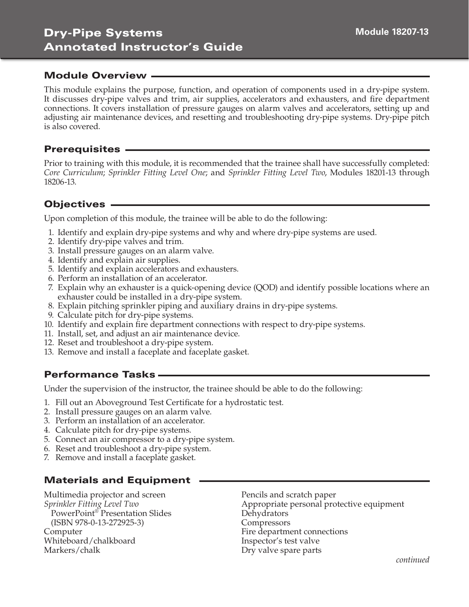This module explains the purpose, function, and operation of components used in a dry-pipe system. It discusses dry-pipe valves and trim, air supplies, accelerators and exhausters, and fire department connections. It covers installation of pressure gauges on alarm valves and accelerators, setting up and adjusting air maintenance devices, and resetting and troubleshooting dry-pipe systems. Dry-pipe pitch is also covered.

#### Prerequisites

Prior to training with this module, it is recommended that the trainee shall have successfully completed: *Core Curriculum*; *Sprinkler Fitting Level One*; and *Sprinkler Fitting Level Two*, Modules 18201-13 through 18206-13.

### Objectives

Upon completion of this module, the trainee will be able to do the following:

- 1. Identify and explain dry-pipe systems and why and where dry-pipe systems are used.
- 2. Identify dry-pipe valves and trim.
- 3. Install pressure gauges on an alarm valve.
- 4. Identify and explain air supplies.
- 5. Identify and explain accelerators and exhausters.
- 6. Perform an installation of an accelerator.
- 7. Explain why an exhauster is a quick-opening device (QOD) and identify possible locations where an exhauster could be installed in a dry-pipe system.
- 8. Explain pitching sprinkler piping and auxiliary drains in dry-pipe systems.
- 9. Calculate pitch for dry-pipe systems.
- 10. Identify and explain fire department connections with respect to dry-pipe systems.
- 11. Install, set, and adjust an air maintenance device.
- 12. Reset and troubleshoot a dry-pipe system.
- 13. Remove and install a faceplate and faceplate gasket.

## Performance Tasks

Under the supervision of the instructor, the trainee should be able to do the following:

- 1. Fill out an Aboveground Test Certificate for a hydrostatic test.
- 2. Install pressure gauges on an alarm valve.
- 3. Perform an installation of an accelerator.
- 4. Calculate pitch for dry-pipe systems.
- 5. Connect an air compressor to a dry-pipe system.
- 6. Reset and troubleshoot a dry-pipe system.
- 7. Remove and install a faceplate gasket.

## Materials and Equipment

Multimedia projector and screen *Sprinkler Fitting Level Two* PowerPoint® Presentation Slides (ISBN 978-0-13-272925-3) Computer Whiteboard/chalkboard Markers/chalk

Pencils and scratch paper Appropriate personal protective equipment Dehydrators **Compressors** Fire department connections Inspector's test valve Dry valve spare parts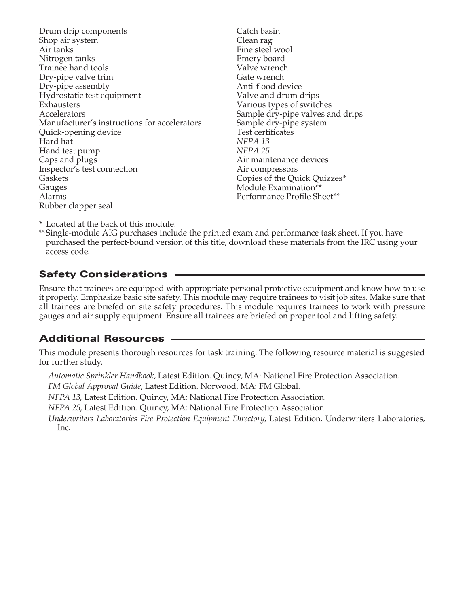Drum drip components Shop air system Air tanks Nitrogen tanks Trainee hand tools Dry-pipe valve trim Dry-pipe assembly Hydrostatic test equipment Exhausters Accelerators Manufacturer's instructions for accelerators Quick-opening device Hard hat Hand test pump Caps and plugs Inspector's test connection Gaskets Gauges Alarms Rubber clapper seal

Catch basin Clean rag Fine steel wool Emery board Valve wrench Gate wrench Anti-flood device Valve and drum drips Various types of switches Sample dry-pipe valves and drips Sample dry-pipe system Test certificates *NFPA 13 NFPA 25* Air maintenance devices Air compressors Copies of the Quick Quizzes\* Module Examination\*\* Performance Profile Sheet\*\*

\* Located at the back of this module.

\*\* Single-module AIG purchases include the printed exam and performance task sheet. If you have purchased the perfect-bound version of this title, download these materials from the IRC using your access code.

## Safety Considerations

Ensure that trainees are equipped with appropriate personal protective equipment and know how to use it properly. Emphasize basic site safety. This module may require trainees to visit job sites. Make sure that all trainees are briefed on site safety procedures. This module requires trainees to work with pressure gauges and air supply equipment. Ensure all trainees are briefed on proper tool and lifting safety.

## Additional Resources

This module presents thorough resources for task training. The following resource material is suggested for further study.

*Automatic Sprinkler Handbook*, Latest Edition. Quincy, MA: National Fire Protection Association.

*FM Global Approval Guide*, Latest Edition. Norwood, MA: FM Global.

*NFPA 13*, Latest Edition. Quincy, MA: National Fire Protection Association.

*NFPA 25*, Latest Edition. Quincy, MA: National Fire Protection Association.

*Underwriters Laboratories Fire Protection Equipment Directory*, Latest Edition. Underwriters Laboratories, Inc.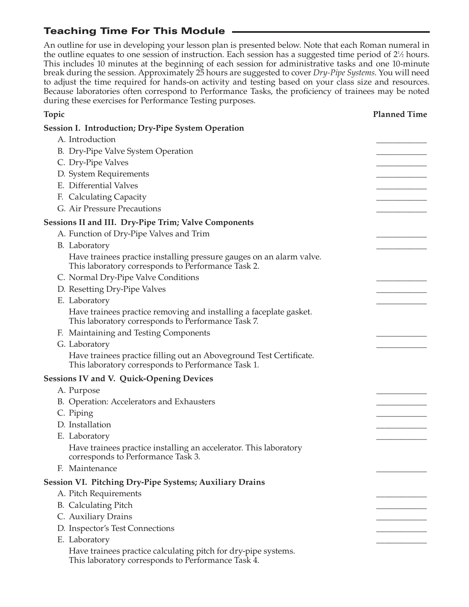# Teaching Time For This Module

An outline for use in developing your lesson plan is presented below. Note that each Roman numeral in the outline equates to one session of instruction. Each session has a suggested time period of 2<sup>1</sup>/<sub>2</sub> hours. This includes 10 minutes at the beginning of each session for administrative tasks and one 10-minute break during the session. Approximately 25 hours are suggested to cover *Dry-Pipe Systems*. You will need to adjust the time required for hands-on activity and testing based on your class size and resources. Because laboratories often correspond to Performance Tasks, the proficiency of trainees may be noted during these exercises for Performance Testing purposes.

| Topic                                                                                                                      | <b>Planned Time</b> |
|----------------------------------------------------------------------------------------------------------------------------|---------------------|
| <b>Session I. Introduction; Dry-Pipe System Operation</b>                                                                  |                     |
| A. Introduction                                                                                                            |                     |
| B. Dry-Pipe Valve System Operation                                                                                         |                     |
| C. Dry-Pipe Valves                                                                                                         |                     |
| D. System Requirements                                                                                                     |                     |
| E. Differential Valves                                                                                                     |                     |
| F. Calculating Capacity                                                                                                    |                     |
| G. Air Pressure Precautions                                                                                                |                     |
| <b>Sessions II and III. Dry-Pipe Trim; Valve Components</b>                                                                |                     |
| A. Function of Dry-Pipe Valves and Trim                                                                                    |                     |
| B. Laboratory                                                                                                              |                     |
| Have trainees practice installing pressure gauges on an alarm valve.<br>This laboratory corresponds to Performance Task 2. |                     |
| C. Normal Dry-Pipe Valve Conditions                                                                                        |                     |
| D. Resetting Dry-Pipe Valves                                                                                               |                     |
| E. Laboratory                                                                                                              |                     |
| Have trainees practice removing and installing a faceplate gasket.<br>This laboratory corresponds to Performance Task 7.   |                     |
| F. Maintaining and Testing Components                                                                                      |                     |
| G. Laboratory                                                                                                              |                     |
| Have trainees practice filling out an Aboveground Test Certificate.<br>This laboratory corresponds to Performance Task 1.  |                     |
| <b>Sessions IV and V. Quick-Opening Devices</b>                                                                            |                     |
| A. Purpose                                                                                                                 |                     |
| B. Operation: Accelerators and Exhausters                                                                                  |                     |
| C. Piping                                                                                                                  |                     |
| D. Installation                                                                                                            |                     |
| E. Laboratory                                                                                                              |                     |
| Have trainees practice installing an accelerator. This laboratory<br>corresponds to Performance Task 3.                    |                     |
| F. Maintenance                                                                                                             |                     |
| <b>Session VI. Pitching Dry-Pipe Systems; Auxiliary Drains</b>                                                             |                     |
| A. Pitch Requirements                                                                                                      |                     |
| <b>B.</b> Calculating Pitch                                                                                                |                     |
| C. Auxiliary Drains                                                                                                        |                     |
| D. Inspector's Test Connections                                                                                            |                     |
| E. Laboratory                                                                                                              |                     |
| Have trainees practice calculating pitch for dry-pipe systems.<br>This laboratory corresponds to Performance Task 4.       |                     |